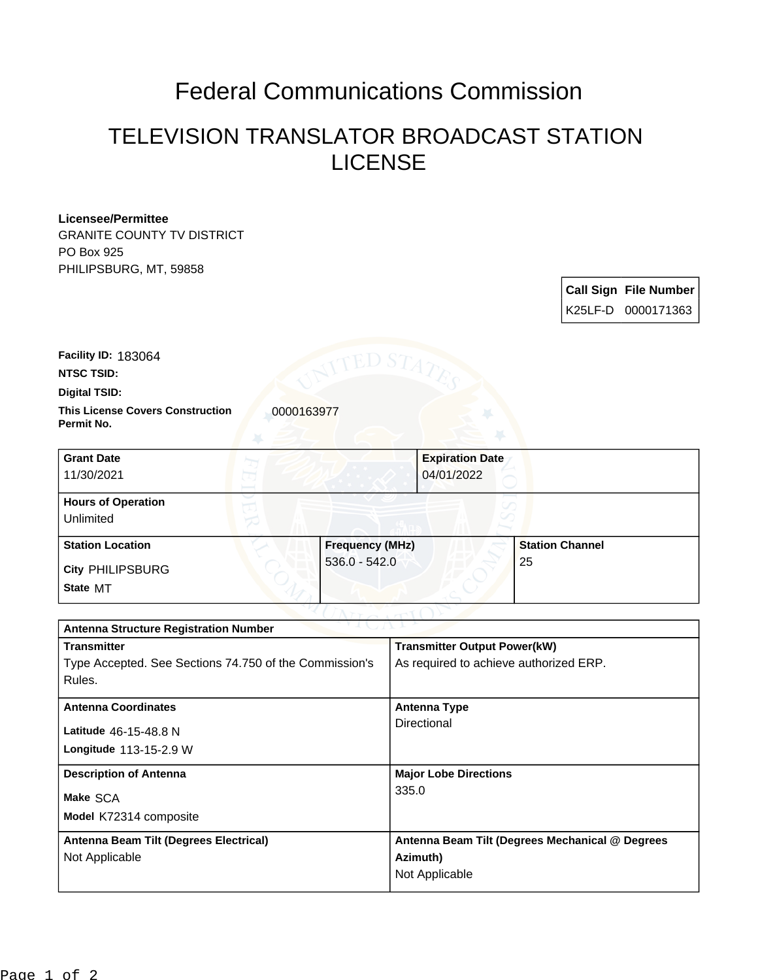## Federal Communications Commission

## TELEVISION TRANSLATOR BROADCAST STATION LICENSE

## **Licensee/Permittee**

GRANITE COUNTY TV DISTRICT PO Box 925 PHILIPSBURG, MT, 59858

| <b>Call Sign File Number</b><br>K25LF-D 0000171363 |
|----------------------------------------------------|

**Digital TSID: NTSC TSID: Facility ID:** 183064

**This License Covers Construction**  0000163977 **Permit No.**

| <b>Grant Date</b><br>11/30/2021        |                        | <b>Expiration Date</b><br>04/01/2022 |
|----------------------------------------|------------------------|--------------------------------------|
| <b>Hours of Operation</b><br>Unlimited |                        |                                      |
| <b>Station Location</b>                | <b>Frequency (MHz)</b> | <b>Station Channel</b>               |
| <b>City PHILIPSBURG</b><br>State MT    | $536.0 - 542.0$        | 25                                   |

| <b>Antenna Structure Registration Number</b>           |                                                 |  |  |
|--------------------------------------------------------|-------------------------------------------------|--|--|
| <b>Transmitter</b>                                     | <b>Transmitter Output Power(kW)</b>             |  |  |
| Type Accepted. See Sections 74.750 of the Commission's | As required to achieve authorized ERP.          |  |  |
| Rules.                                                 |                                                 |  |  |
| <b>Antenna Coordinates</b>                             | Antenna Type                                    |  |  |
| Latitude 46-15-48.8 N                                  | Directional                                     |  |  |
| Longitude 113-15-2.9 W                                 |                                                 |  |  |
| <b>Description of Antenna</b>                          | <b>Major Lobe Directions</b>                    |  |  |
| Make SCA                                               | 335.0                                           |  |  |
| Model K72314 composite                                 |                                                 |  |  |
|                                                        |                                                 |  |  |
| Antenna Beam Tilt (Degrees Electrical)                 | Antenna Beam Tilt (Degrees Mechanical @ Degrees |  |  |
| Not Applicable                                         | Azimuth)                                        |  |  |
|                                                        | Not Applicable                                  |  |  |
|                                                        |                                                 |  |  |